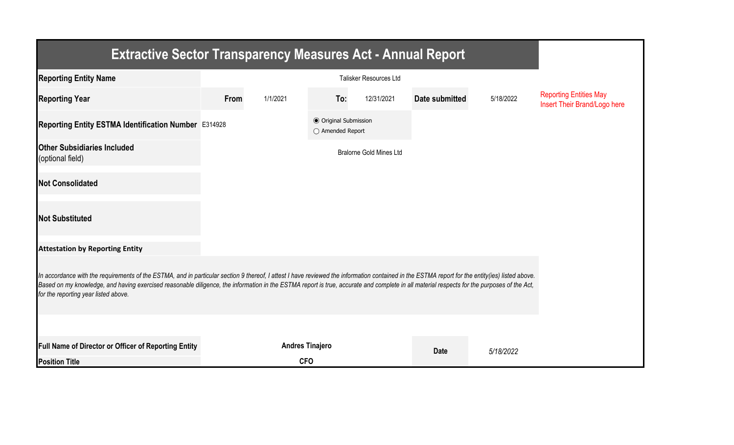| <b>Extractive Sector Transparency Measures Act - Annual Report</b>                                                                                                                                                                                                                                                                                                                                                                    |      |                        |                                                  |                                |                |           |                                                               |  |  |  |
|---------------------------------------------------------------------------------------------------------------------------------------------------------------------------------------------------------------------------------------------------------------------------------------------------------------------------------------------------------------------------------------------------------------------------------------|------|------------------------|--------------------------------------------------|--------------------------------|----------------|-----------|---------------------------------------------------------------|--|--|--|
| <b>Reporting Entity Name</b>                                                                                                                                                                                                                                                                                                                                                                                                          |      |                        |                                                  |                                |                |           |                                                               |  |  |  |
| <b>Reporting Year</b>                                                                                                                                                                                                                                                                                                                                                                                                                 | From | 1/1/2021               | To:                                              | 12/31/2021                     | Date submitted | 5/18/2022 | <b>Reporting Entities May</b><br>Insert Their Brand/Logo here |  |  |  |
| Reporting Entity ESTMA Identification Number E314928                                                                                                                                                                                                                                                                                                                                                                                  |      |                        | <b>◎</b> Original Submission<br>○ Amended Report |                                |                |           |                                                               |  |  |  |
| <b>Other Subsidiaries Included</b><br>(optional field)                                                                                                                                                                                                                                                                                                                                                                                |      |                        |                                                  | <b>Bralorne Gold Mines Ltd</b> |                |           |                                                               |  |  |  |
| <b>Not Consolidated</b>                                                                                                                                                                                                                                                                                                                                                                                                               |      |                        |                                                  |                                |                |           |                                                               |  |  |  |
| <b>Not Substituted</b>                                                                                                                                                                                                                                                                                                                                                                                                                |      |                        |                                                  |                                |                |           |                                                               |  |  |  |
| <b>Attestation by Reporting Entity</b>                                                                                                                                                                                                                                                                                                                                                                                                |      |                        |                                                  |                                |                |           |                                                               |  |  |  |
| In accordance with the requirements of the ESTMA, and in particular section 9 thereof, I attest I have reviewed the information contained in the ESTMA report for the entity(ies) listed above.<br>Based on my knowledge, and having exercised reasonable diligence, the information in the ESTMA report is true, accurate and complete in all material respects for the purposes of the Act,<br>for the reporting year listed above. |      |                        |                                                  |                                |                |           |                                                               |  |  |  |
|                                                                                                                                                                                                                                                                                                                                                                                                                                       |      |                        |                                                  |                                |                |           |                                                               |  |  |  |
| <b>Full Name of Director or Officer of Reporting Entity</b>                                                                                                                                                                                                                                                                                                                                                                           |      | <b>Andres Tinajero</b> |                                                  |                                | <b>Date</b>    | 5/18/2022 |                                                               |  |  |  |
| <b>Position Title</b>                                                                                                                                                                                                                                                                                                                                                                                                                 |      | <b>CFO</b>             |                                                  |                                |                |           |                                                               |  |  |  |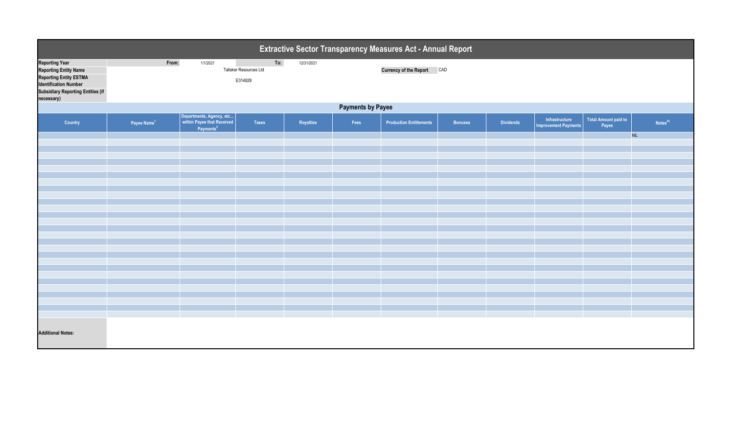| Extractive Sector Transparency Measures Act - Annual Report                                                                                                                      |                                                                                                           |                                                                                 |       |           |      |                                |                |                  |                                               |                               |                     |  |
|----------------------------------------------------------------------------------------------------------------------------------------------------------------------------------|-----------------------------------------------------------------------------------------------------------|---------------------------------------------------------------------------------|-------|-----------|------|--------------------------------|----------------|------------------|-----------------------------------------------|-------------------------------|---------------------|--|
| <b>Reporting Year</b><br><b>Reporting Entity Name</b><br><b>Reporting Entity ESTMA</b><br><b>Identification Number</b><br><b>Subsidiary Reporting Entities (if</b><br>necessary) | To:<br>From:<br>1/1/2021<br>12/31/2021<br>Currency of the Report CAD<br>Talisker Resources Ltd<br>E314928 |                                                                                 |       |           |      |                                |                |                  |                                               |                               |                     |  |
| <b>Payments by Payee</b>                                                                                                                                                         |                                                                                                           |                                                                                 |       |           |      |                                |                |                  |                                               |                               |                     |  |
| Country                                                                                                                                                                          | Payee Name <sup>1</sup>                                                                                   | Departments, Agency, etc<br>within Payee that Received<br>Payments <sup>2</sup> | Taxes | Royalties | Fees | <b>Production Entitlements</b> | <b>Bonuses</b> | <b>Dividends</b> | Infrastructure<br><b>Improvement Payments</b> | Total Amount paid to<br>Payee | Notes <sup>34</sup> |  |
|                                                                                                                                                                                  |                                                                                                           |                                                                                 |       |           |      |                                |                |                  |                                               |                               | <b>NIL</b>          |  |
|                                                                                                                                                                                  |                                                                                                           |                                                                                 |       |           |      |                                |                |                  |                                               |                               |                     |  |
|                                                                                                                                                                                  |                                                                                                           |                                                                                 |       |           |      |                                |                |                  |                                               |                               |                     |  |
|                                                                                                                                                                                  |                                                                                                           |                                                                                 |       |           |      |                                |                |                  |                                               |                               |                     |  |
|                                                                                                                                                                                  |                                                                                                           |                                                                                 |       |           |      |                                |                |                  |                                               |                               |                     |  |
|                                                                                                                                                                                  |                                                                                                           |                                                                                 |       |           |      |                                |                |                  |                                               |                               |                     |  |
|                                                                                                                                                                                  |                                                                                                           |                                                                                 |       |           |      |                                |                |                  |                                               |                               |                     |  |
|                                                                                                                                                                                  |                                                                                                           |                                                                                 |       |           |      |                                |                |                  |                                               |                               |                     |  |
|                                                                                                                                                                                  |                                                                                                           |                                                                                 |       |           |      |                                |                |                  |                                               |                               |                     |  |
|                                                                                                                                                                                  |                                                                                                           |                                                                                 |       |           |      |                                |                |                  |                                               |                               |                     |  |
|                                                                                                                                                                                  |                                                                                                           |                                                                                 |       |           |      |                                |                |                  |                                               |                               |                     |  |
|                                                                                                                                                                                  |                                                                                                           |                                                                                 |       |           |      |                                |                |                  |                                               |                               |                     |  |
|                                                                                                                                                                                  |                                                                                                           |                                                                                 |       |           |      |                                |                |                  |                                               |                               |                     |  |
|                                                                                                                                                                                  |                                                                                                           |                                                                                 |       |           |      |                                |                |                  |                                               |                               |                     |  |
|                                                                                                                                                                                  |                                                                                                           |                                                                                 |       |           |      |                                |                |                  |                                               |                               |                     |  |
| <b>Additional Notes:</b>                                                                                                                                                         |                                                                                                           |                                                                                 |       |           |      |                                |                |                  |                                               |                               |                     |  |